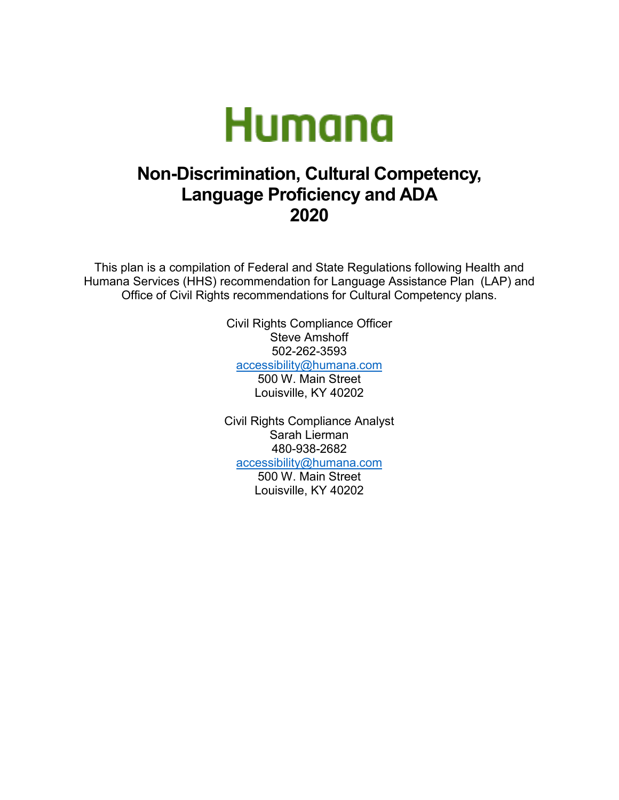

# **Non-Discrimination, Cultural Competency, Language Proficiency and ADA 2020**

This plan is a compilation of Federal and State Regulations following Health and Humana Services (HHS) recommendation for Language Assistance Plan (LAP) and Office of Civil Rights recommendations for Cultural Competency plans.

> Civil Rights Compliance Officer Steve Amshoff 502-262-3593 [accessibility@humana.com](mailto:accessibility@humana.com)

500 W. Main Street

Louisville, KY 40202

Civil Rights Compliance Analyst Sarah Lierman 480-938-2682 [accessibility@humana.com](mailto:accessibility@humana.com)

> 500 W. Main Street Louisville, KY 40202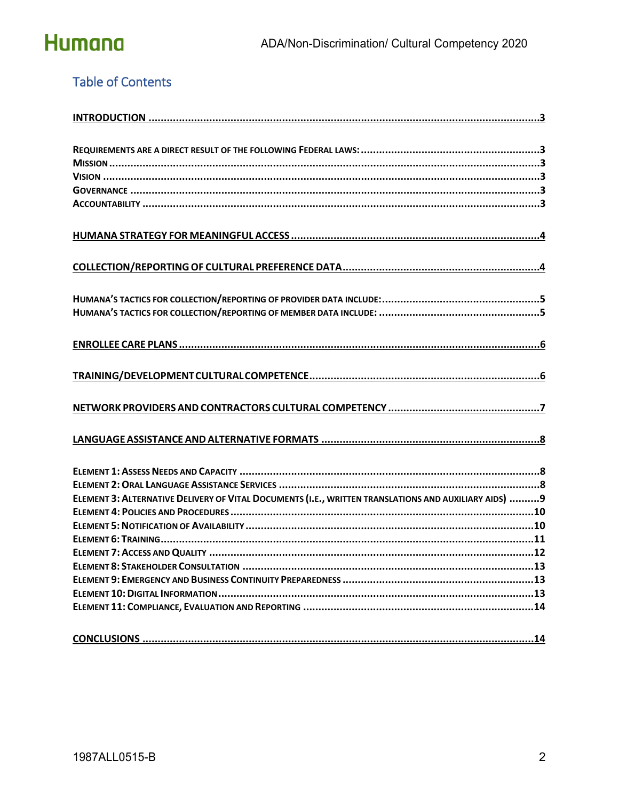

### **Table of Contents**

| ELEMENT 3: ALTERNATIVE DELIVERY OF VITAL DOCUMENTS (I.E., WRITTEN TRANSLATIONS AND AUXILIARY AIDS) 9 |
|------------------------------------------------------------------------------------------------------|
|                                                                                                      |
|                                                                                                      |
|                                                                                                      |
|                                                                                                      |
|                                                                                                      |
|                                                                                                      |
|                                                                                                      |
|                                                                                                      |
|                                                                                                      |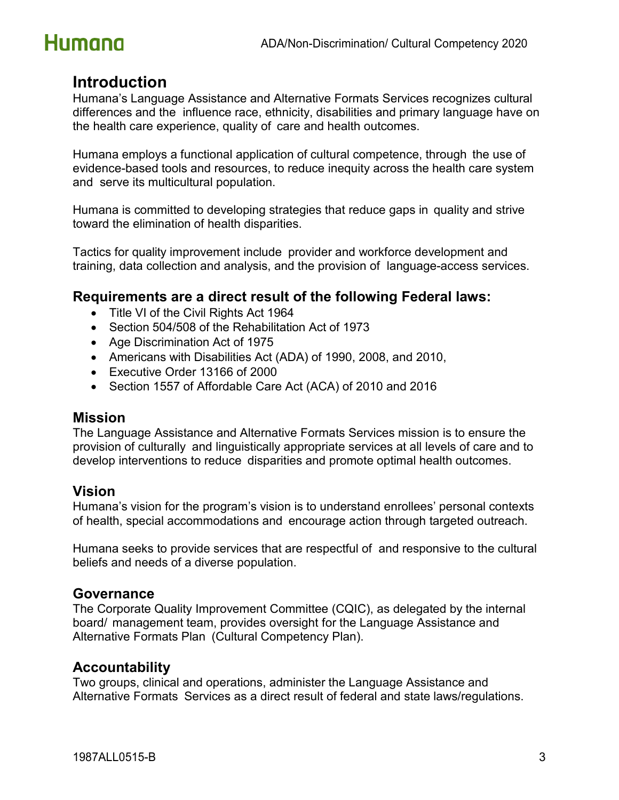

### <span id="page-2-0"></span>**Introduction**

Humana's Language Assistance and Alternative Formats Services recognizes cultural differences and the influence race, ethnicity, disabilities and primary language have on the health care experience, quality of care and health outcomes.

Humana employs a functional application of cultural competence, through the use of evidence-based tools and resources, to reduce inequity across the health care system and serve its multicultural population.

Humana is committed to developing strategies that reduce gaps in quality and strive toward the elimination of health disparities.

Tactics for quality improvement include provider and workforce development and training, data collection and analysis, and the provision of language-access services.

### <span id="page-2-1"></span>**Requirements are a direct result of the following Federal laws:**

- Title VI of the Civil Rights Act 1964
- Section 504/508 of the Rehabilitation Act of 1973
- Age Discrimination Act of 1975
- Americans with Disabilities Act (ADA) of 1990, 2008, and 2010,
- Executive Order 13166 of 2000
- Section 1557 of Affordable Care Act (ACA) of 2010 and 2016

#### <span id="page-2-2"></span>**Mission**

The Language Assistance and Alternative Formats Services mission is to ensure the provision of culturally and linguistically appropriate services at all levels of care and to develop interventions to reduce disparities and promote optimal health outcomes.

### <span id="page-2-3"></span>**Vision**

Humana's vision for the program's vision is to understand enrollees' personal contexts of health, special accommodations and encourage action through targeted outreach.

Humana seeks to provide services that are respectful of and responsive to the cultural beliefs and needs of a diverse population.

#### <span id="page-2-4"></span>**Governance**

The Corporate Quality Improvement Committee (CQIC), as delegated by the internal board/ management team, provides oversight for the Language Assistance and Alternative Formats Plan (Cultural Competency Plan).

#### <span id="page-2-5"></span>**Accountability**

Two groups, clinical and operations, administer the Language Assistance and Alternative Formats Services as a direct result of federal and state laws/regulations.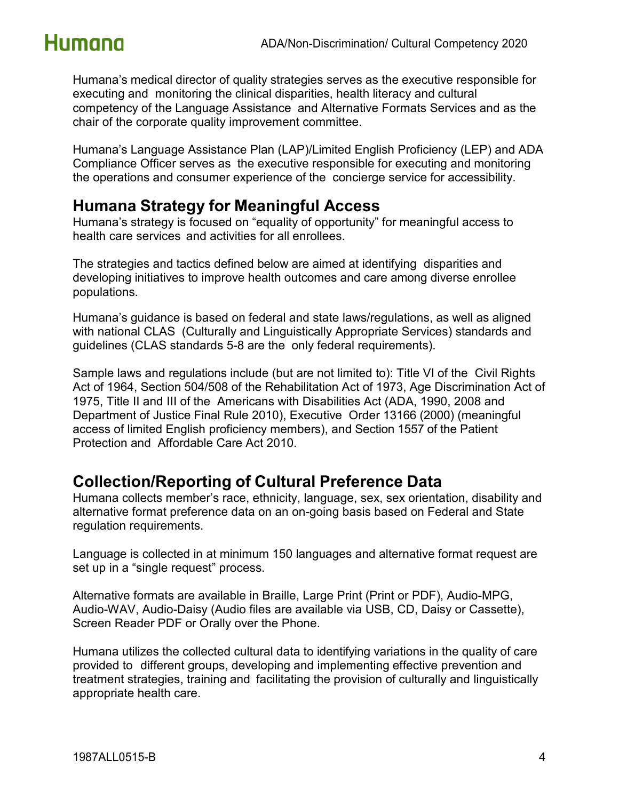Humana's medical director of quality strategies serves as the executive responsible for executing and monitoring the clinical disparities, health literacy and cultural competency of the Language Assistance and Alternative Formats Services and as the chair of the corporate quality improvement committee.

Humana's Language Assistance Plan (LAP)/Limited English Proficiency (LEP) and ADA Compliance Officer serves as the executive responsible for executing and monitoring the operations and consumer experience of the concierge service for accessibility.

## <span id="page-3-0"></span>**Humana Strategy for Meaningful Access**

Humana's strategy is focused on "equality of opportunity" for meaningful access to health care services and activities for all enrollees.

The strategies and tactics defined below are aimed at identifying disparities and developing initiatives to improve health outcomes and care among diverse enrollee populations.

Humana's guidance is based on federal and state laws/regulations, as well as aligned with national CLAS (Culturally and Linguistically Appropriate Services) standards and guidelines (CLAS standards 5-8 are the only federal requirements).

Sample laws and regulations include (but are not limited to): Title VI of the Civil Rights Act of 1964, Section 504/508 of the Rehabilitation Act of 1973, Age Discrimination Act of 1975, Title II and III of the Americans with Disabilities Act (ADA, 1990, 2008 and Department of Justice Final Rule 2010), Executive Order 13166 (2000) (meaningful access of limited English proficiency members), and Section 1557 of the Patient Protection and Affordable Care Act 2010.

## <span id="page-3-1"></span>**Collection/Reporting of Cultural Preference Data**

Humana collects member's race, ethnicity, language, sex, sex orientation, disability and alternative format preference data on an on-going basis based on Federal and State regulation requirements.

Language is collected in at minimum 150 languages and alternative format request are set up in a "single request" process.

Alternative formats are available in Braille, Large Print (Print or PDF), Audio-MPG, Audio-WAV, Audio-Daisy (Audio files are available via USB, CD, Daisy or Cassette), Screen Reader PDF or Orally over the Phone.

Humana utilizes the collected cultural data to identifying variations in the quality of care provided to different groups, developing and implementing effective prevention and treatment strategies, training and facilitating the provision of culturally and linguistically appropriate health care.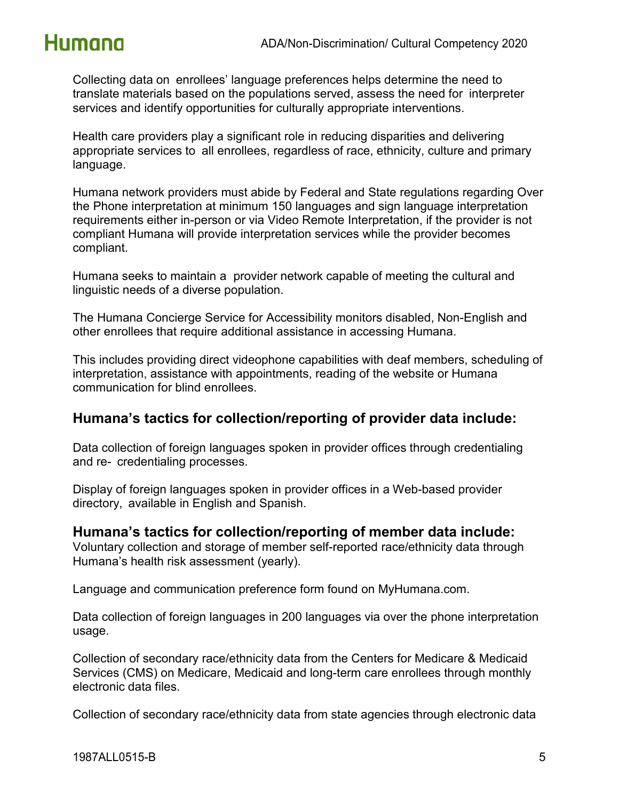

Collecting data on enrollees' language preferences helps determine the need to translate materials based on the populations served, assess the need for interpreter services and identify opportunities for culturally appropriate interventions.

Health care providers play a significant role in reducing disparities and delivering appropriate services to all enrollees, regardless of race, ethnicity, culture and primary language.

Humana network providers must abide by Federal and State regulations regarding Over the Phone interpretation at minimum 150 languages and sign language interpretation requirements either in-person or via Video Remote Interpretation, if the provider is not compliant Humana will provide interpretation services while the provider becomes compliant.

Humana seeks to maintain a provider network capable of meeting the cultural and linguistic needs of a diverse population.

The Humana Concierge Service for Accessibility monitors disabled, Non-English and other enrollees that require additional assistance in accessing Humana.

This includes providing direct videophone capabilities with deaf members, scheduling of interpretation, assistance with appointments, reading of the website or Humana communication for blind enrollees.

### <span id="page-4-0"></span>**Humana's tactics for collection/reporting of provider data include:**

Data collection of foreign languages spoken in provider offices through credentialing and re- credentialing processes.

Display of foreign languages spoken in provider offices in a Web-based provider directory, available in English and Spanish.

#### <span id="page-4-1"></span>**Humana's tactics for collection/reporting of member data include:**

Voluntary collection and storage of member self-reported race/ethnicity data through Humana's health risk assessment (yearly).

Language and communication preference form found on MyHumana.com.

Data collection of foreign languages in 200 languages via over the phone interpretation usage.

Collection of secondary race/ethnicity data from the Centers for Medicare & Medicaid Services (CMS) on Medicare, Medicaid and long-term care enrollees through monthly electronic data files.

Collection of secondary race/ethnicity data from state agencies through electronic data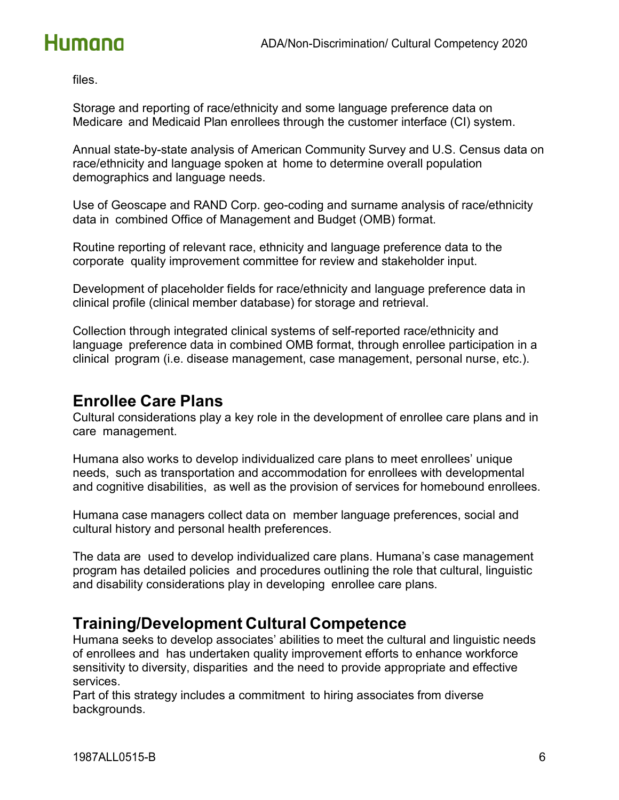files.

Storage and reporting of race/ethnicity and some language preference data on Medicare and Medicaid Plan enrollees through the customer interface (CI) system.

Annual state-by-state analysis of American Community Survey and U.S. Census data on race/ethnicity and language spoken at home to determine overall population demographics and language needs.

Use of Geoscape and RAND Corp. geo-coding and surname analysis of race/ethnicity data in combined Office of Management and Budget (OMB) format.

Routine reporting of relevant race, ethnicity and language preference data to the corporate quality improvement committee for review and stakeholder input.

Development of placeholder fields for race/ethnicity and language preference data in clinical profile (clinical member database) for storage and retrieval.

Collection through integrated clinical systems of self-reported race/ethnicity and language preference data in combined OMB format, through enrollee participation in a clinical program (i.e. disease management, case management, personal nurse, etc.).

### <span id="page-5-0"></span>**Enrollee Care Plans**

Cultural considerations play a key role in the development of enrollee care plans and in care management.

Humana also works to develop individualized care plans to meet enrollees' unique needs, such as transportation and accommodation for enrollees with developmental and cognitive disabilities, as well as the provision of services for homebound enrollees.

Humana case managers collect data on member language preferences, social and cultural history and personal health preferences.

The data are used to develop individualized care plans. Humana's case management program has detailed policies and procedures outlining the role that cultural, linguistic and disability considerations play in developing enrollee care plans.

## <span id="page-5-1"></span>**Training/Development Cultural Competence**

Humana seeks to develop associates' abilities to meet the cultural and linguistic needs of enrollees and has undertaken quality improvement efforts to enhance workforce sensitivity to diversity, disparities and the need to provide appropriate and effective services.

Part of this strategy includes a commitment to hiring associates from diverse backgrounds.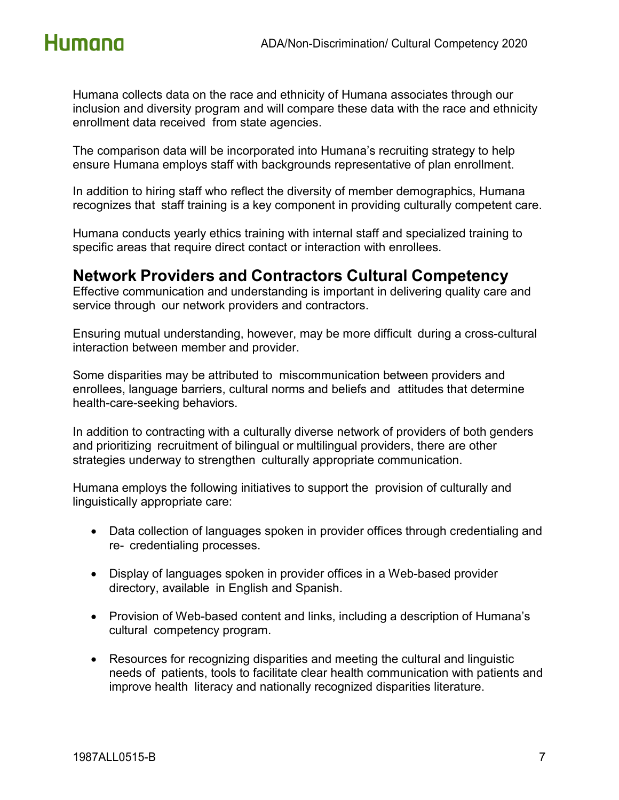

Humana collects data on the race and ethnicity of Humana associates through our inclusion and diversity program and will compare these data with the race and ethnicity enrollment data received from state agencies.

The comparison data will be incorporated into Humana's recruiting strategy to help ensure Humana employs staff with backgrounds representative of plan enrollment.

In addition to hiring staff who reflect the diversity of member demographics, Humana recognizes that staff training is a key component in providing culturally competent care.

Humana conducts yearly ethics training with internal staff and specialized training to specific areas that require direct contact or interaction with enrollees.

### <span id="page-6-0"></span>**Network Providers and Contractors Cultural Competency**

Effective communication and understanding is important in delivering quality care and service through our network providers and contractors.

Ensuring mutual understanding, however, may be more difficult during a cross-cultural interaction between member and provider.

Some disparities may be attributed to miscommunication between providers and enrollees, language barriers, cultural norms and beliefs and attitudes that determine health-care-seeking behaviors.

In addition to contracting with a culturally diverse network of providers of both genders and prioritizing recruitment of bilingual or multilingual providers, there are other strategies underway to strengthen culturally appropriate communication.

Humana employs the following initiatives to support the provision of culturally and linguistically appropriate care:

- Data collection of languages spoken in provider offices through credentialing and re- credentialing processes.
- Display of languages spoken in provider offices in a Web-based provider directory, available in English and Spanish.
- Provision of Web-based content and links, including a description of Humana's cultural competency program.
- Resources for recognizing disparities and meeting the cultural and linguistic needs of patients, tools to facilitate clear health communication with patients and improve health literacy and nationally recognized disparities literature.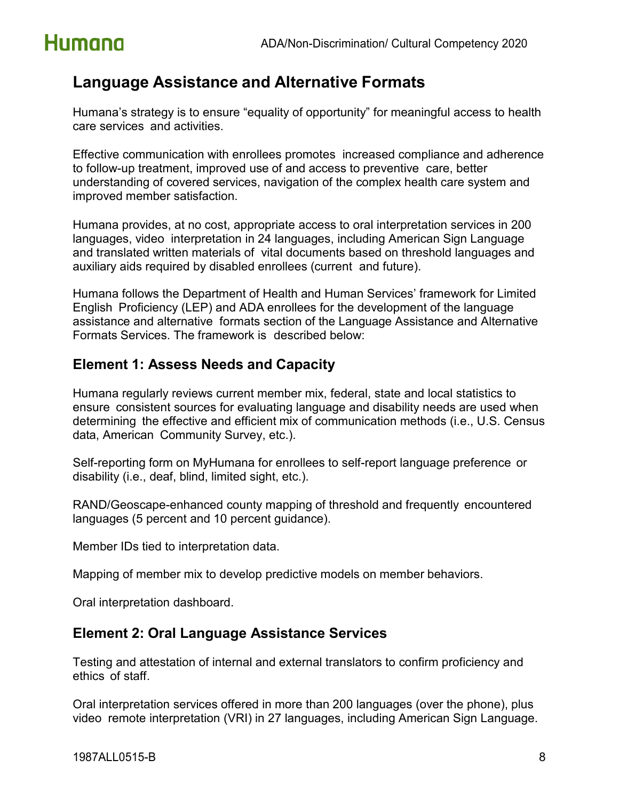## <span id="page-7-0"></span>**Language Assistance and Alternative Formats**

Humana's strategy is to ensure "equality of opportunity" for meaningful access to health care services and activities.

Effective communication with enrollees promotes increased compliance and adherence to follow-up treatment, improved use of and access to preventive care, better understanding of covered services, navigation of the complex health care system and improved member satisfaction.

Humana provides, at no cost, appropriate access to oral interpretation services in 200 languages, video interpretation in 24 languages, including American Sign Language and translated written materials of vital documents based on threshold languages and auxiliary aids required by disabled enrollees (current and future).

Humana follows the Department of Health and Human Services' framework for Limited English Proficiency (LEP) and ADA enrollees for the development of the language assistance and alternative formats section of the Language Assistance and Alternative Formats Services. The framework is described below:

### <span id="page-7-1"></span>**Element 1: Assess Needs and Capacity**

Humana regularly reviews current member mix, federal, state and local statistics to ensure consistent sources for evaluating language and disability needs are used when determining the effective and efficient mix of communication methods (i.e., U.S. Census data, American Community Survey, etc.).

Self-reporting form on MyHumana for enrollees to self-report language preference or disability (i.e., deaf, blind, limited sight, etc.).

RAND/Geoscape-enhanced county mapping of threshold and frequently encountered languages (5 percent and 10 percent guidance).

Member IDs tied to interpretation data.

Mapping of member mix to develop predictive models on member behaviors.

Oral interpretation dashboard.

### <span id="page-7-2"></span>**Element 2: Oral Language Assistance Services**

Testing and attestation of internal and external translators to confirm proficiency and ethics of staff.

Oral interpretation services offered in more than 200 languages (over the phone), plus video remote interpretation (VRI) in 27 languages, including American Sign Language.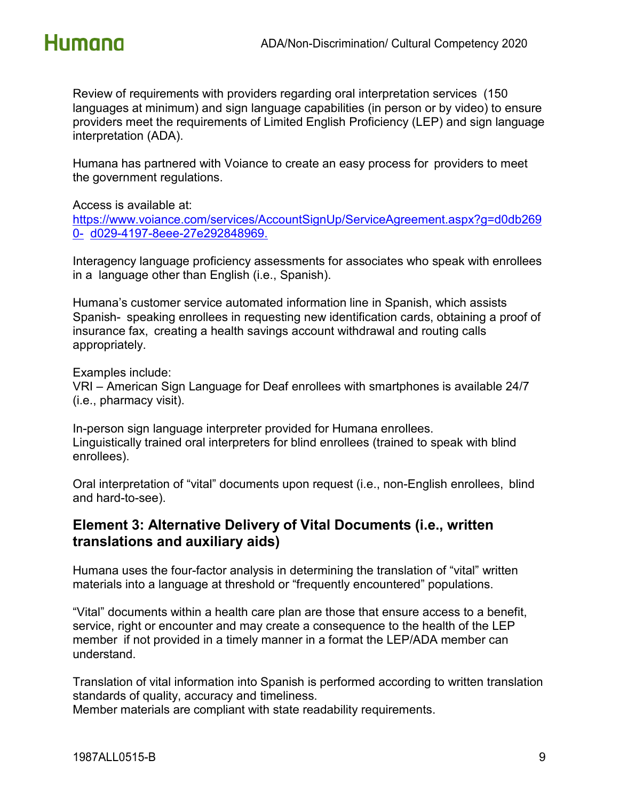

Review of requirements with providers regarding oral interpretation services (150 languages at minimum) and sign language capabilities (in person or by video) to ensure providers meet the requirements of Limited English Proficiency (LEP) and sign language interpretation (ADA).

Humana has partnered with Voiance to create an easy process for providers to meet the government regulations.

Access is available at:

[https://www.voiance.com/services/AccountSignUp/ServiceAgreement.aspx?g=d0db269](https://www.voiance.com/services/AccountSignUp/ServiceAgreement.aspx?g=d0db2690-d029-4197-8eee-27e292848969) [0-](https://www.voiance.com/services/AccountSignUp/ServiceAgreement.aspx?g=d0db2690-d029-4197-8eee-27e292848969) [d029-4197-8eee-27e292848969.](https://www.voiance.com/services/AccountSignUp/ServiceAgreement.aspx?g=d0db2690-d029-4197-8eee-27e292848969)

Interagency language proficiency assessments for associates who speak with enrollees in a language other than English (i.e., Spanish).

Humana's customer service automated information line in Spanish, which assists Spanish- speaking enrollees in requesting new identification cards, obtaining a proof of insurance fax, creating a health savings account withdrawal and routing calls appropriately.

Examples include:

VRI – American Sign Language for Deaf enrollees with smartphones is available 24/7 (i.e., pharmacy visit).

In-person sign language interpreter provided for Humana enrollees. Linguistically trained oral interpreters for blind enrollees (trained to speak with blind enrollees).

Oral interpretation of "vital" documents upon request (i.e., non-English enrollees, blind and hard-to-see).

### <span id="page-8-0"></span>**Element 3: Alternative Delivery of Vital Documents (i.e., written translations and auxiliary aids)**

Humana uses the four-factor analysis in determining the translation of "vital" written materials into a language at threshold or "frequently encountered" populations.

"Vital" documents within a health care plan are those that ensure access to a benefit, service, right or encounter and may create a consequence to the health of the LEP member if not provided in a timely manner in a format the LEP/ADA member can understand.

Translation of vital information into Spanish is performed according to written translation standards of quality, accuracy and timeliness.

Member materials are compliant with state readability requirements.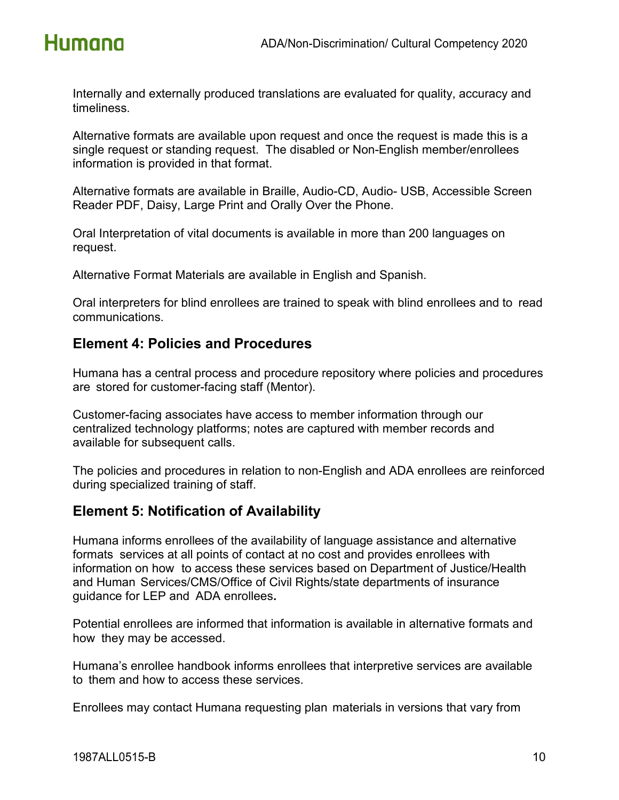

Internally and externally produced translations are evaluated for quality, accuracy and timeliness.

Alternative formats are available upon request and once the request is made this is a single request or standing request. The disabled or Non-English member/enrollees information is provided in that format.

Alternative formats are available in Braille, Audio-CD, Audio- USB, Accessible Screen Reader PDF, Daisy, Large Print and Orally Over the Phone.

Oral Interpretation of vital documents is available in more than 200 languages on request.

Alternative Format Materials are available in English and Spanish.

Oral interpreters for blind enrollees are trained to speak with blind enrollees and to read communications.

### <span id="page-9-0"></span>**Element 4: Policies and Procedures**

Humana has a central process and procedure repository where policies and procedures are stored for customer-facing staff (Mentor).

Customer-facing associates have access to member information through our centralized technology platforms; notes are captured with member records and available for subsequent calls.

The policies and procedures in relation to non-English and ADA enrollees are reinforced during specialized training of staff.

### <span id="page-9-1"></span>**Element 5: Notification of Availability**

Humana informs enrollees of the availability of language assistance and alternative formats services at all points of contact at no cost and provides enrollees with information on how to access these services based on Department of Justice/Health and Human Services/CMS/Office of Civil Rights/state departments of insurance guidance for LEP and ADA enrollees**.**

Potential enrollees are informed that information is available in alternative formats and how they may be accessed.

Humana's enrollee handbook informs enrollees that interpretive services are available to them and how to access these services.

Enrollees may contact Humana requesting plan materials in versions that vary from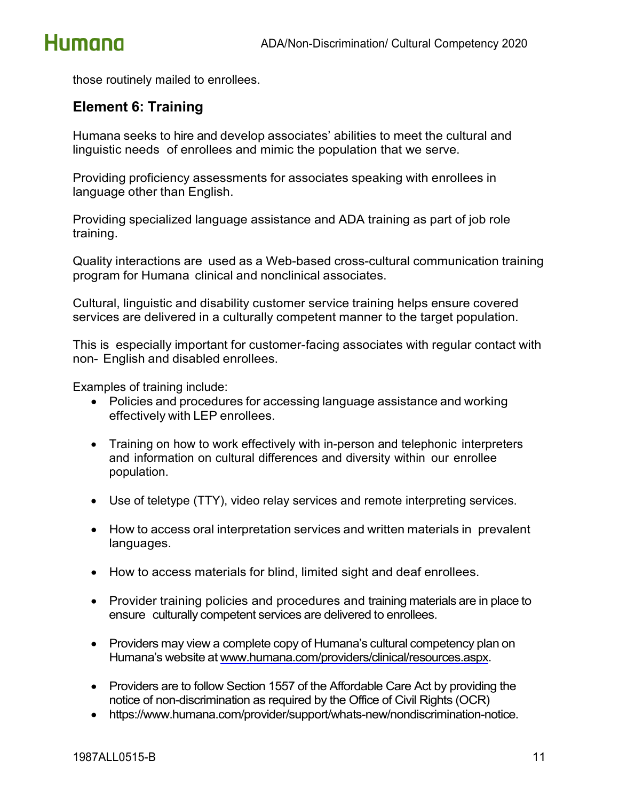

those routinely mailed to enrollees.

### <span id="page-10-0"></span>**Element 6: Training**

Humana seeks to hire and develop associates' abilities to meet the cultural and linguistic needs of enrollees and mimic the population that we serve.

Providing proficiency assessments for associates speaking with enrollees in language other than English.

Providing specialized language assistance and ADA training as part of job role training.

Quality interactions are used as a Web-based cross-cultural communication training program for Humana clinical and nonclinical associates.

Cultural, linguistic and disability customer service training helps ensure covered services are delivered in a culturally competent manner to the target population.

This is especially important for customer-facing associates with regular contact with non- English and disabled enrollees.

Examples of training include:

- Policies and procedures for accessing language assistance and working effectively with LEP enrollees.
- Training on how to work effectively with in-person and telephonic interpreters and information on cultural differences and diversity within our enrollee population.
- Use of teletype (TTY), video relay services and remote interpreting services.
- How to access oral interpretation services and written materials in prevalent languages.
- How to access materials for blind, limited sight and deaf enrollees.
- Provider training policies and procedures and training materials are in place to ensure culturally competent services are delivered to enrollees.
- Providers may view a complete copy of Humana's cultural competency plan on Humana's website at [www.humana.com/providers/clinical/resources.aspx.](http://www.humana.com/providers/clinical/resources.aspx)
- Providers are to follow Section 1557 of the Affordable Care Act by providing the notice of non-discrimination as required by the Office of Civil Rights (OCR)
- https://www.humana.com/provider/support/whats-new/nondiscrimination-notice.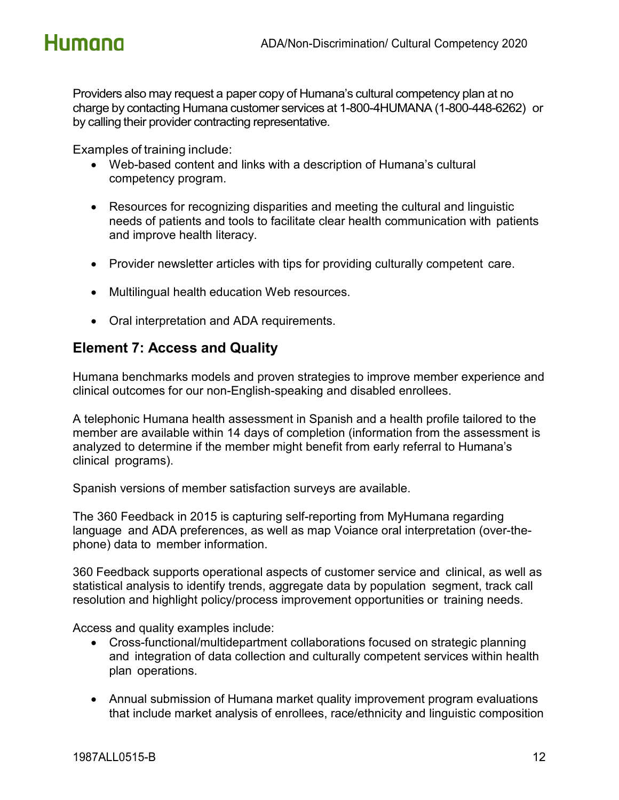Providers also may request a paper copy of Humana's cultural competency plan at no charge by contacting Humana customer services at 1-800-4HUMANA (1-800-448-6262) or by calling their provider contracting representative.

Examples of training include:

- Web-based content and links with a description of Humana's cultural competency program.
- Resources for recognizing disparities and meeting the cultural and linguistic needs of patients and tools to facilitate clear health communication with patients and improve health literacy.
- Provider newsletter articles with tips for providing culturally competent care.
- Multilingual health education Web resources.
- Oral interpretation and ADA requirements.

### <span id="page-11-0"></span>**Element 7: Access and Quality**

Humana benchmarks models and proven strategies to improve member experience and clinical outcomes for our non-English-speaking and disabled enrollees.

A telephonic Humana health assessment in Spanish and a health profile tailored to the member are available within 14 days of completion (information from the assessment is analyzed to determine if the member might benefit from early referral to Humana's clinical programs).

Spanish versions of member satisfaction surveys are available.

The 360 Feedback in 2015 is capturing self-reporting from MyHumana regarding language and ADA preferences, as well as map Voiance oral interpretation (over-thephone) data to member information.

360 Feedback supports operational aspects of customer service and clinical, as well as statistical analysis to identify trends, aggregate data by population segment, track call resolution and highlight policy/process improvement opportunities or training needs.

Access and quality examples include:

- Cross-functional/multidepartment collaborations focused on strategic planning and integration of data collection and culturally competent services within health plan operations.
- Annual submission of Humana market quality improvement program evaluations that include market analysis of enrollees, race/ethnicity and linguistic composition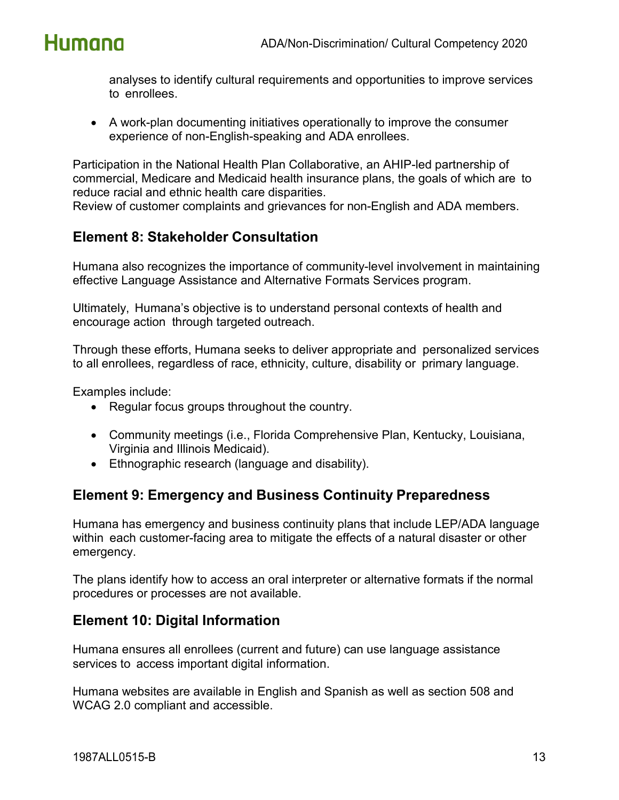

analyses to identify cultural requirements and opportunities to improve services to enrollees.

• A work-plan documenting initiatives operationally to improve the consumer experience of non-English-speaking and ADA enrollees.

Participation in the National Health Plan Collaborative, an AHIP-led partnership of commercial, Medicare and Medicaid health insurance plans, the goals of which are to reduce racial and ethnic health care disparities.

Review of customer complaints and grievances for non-English and ADA members.

### <span id="page-12-0"></span>**Element 8: Stakeholder Consultation**

Humana also recognizes the importance of community-level involvement in maintaining effective Language Assistance and Alternative Formats Services program.

Ultimately, Humana's objective is to understand personal contexts of health and encourage action through targeted outreach.

Through these efforts, Humana seeks to deliver appropriate and personalized services to all enrollees, regardless of race, ethnicity, culture, disability or primary language.

Examples include:

- Regular focus groups throughout the country.
- Community meetings (i.e., Florida Comprehensive Plan, Kentucky, Louisiana, Virginia and Illinois Medicaid).
- Ethnographic research (language and disability).

### <span id="page-12-1"></span>**Element 9: Emergency and Business Continuity Preparedness**

Humana has emergency and business continuity plans that include LEP/ADA language within each customer-facing area to mitigate the effects of a natural disaster or other emergency.

The plans identify how to access an oral interpreter or alternative formats if the normal procedures or processes are not available.

### <span id="page-12-2"></span>**Element 10: Digital Information**

Humana ensures all enrollees (current and future) can use language assistance services to access important digital information.

Humana websites are available in English and Spanish as well as section 508 and WCAG 2.0 compliant and accessible.